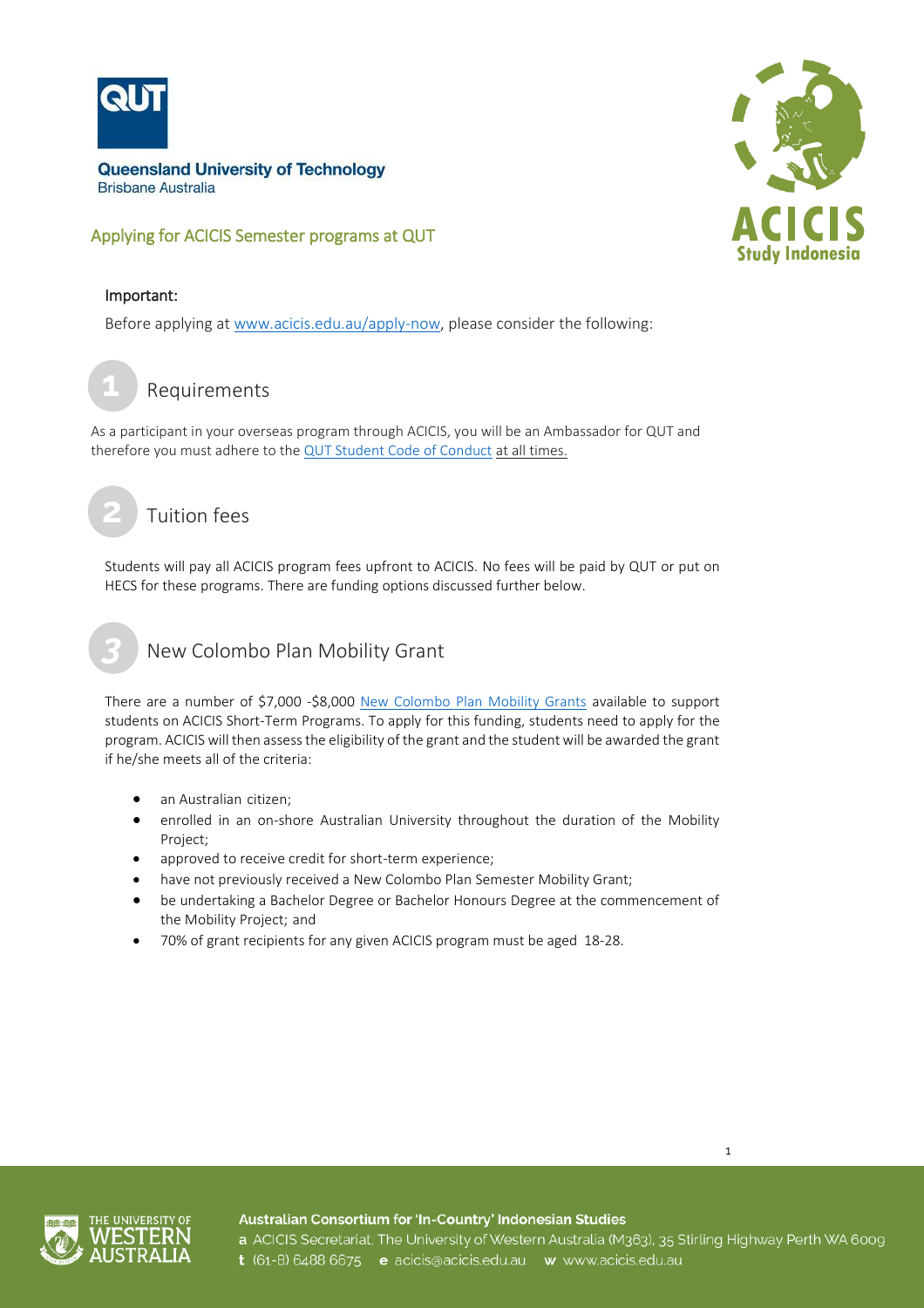

# Applying for ACICIS Semester programs at QUT



#### Important:

Before applying at [www.acicis.edu.au/apply-now,](http://www.acicis.edu.au/apply-now) please consider the following:

Requirements **1**

As a participant in your overseas program through ACICIS, you will be an Ambassador for QUT and therefore you must adhere to the [QUT Student Code of Conduct](http://www.mopp.qut.edu.au/E/E_02_01.jsp)at all times.

# Tuition fees

Students will pay all ACICIS program fees upfront to ACICIS. No fees will be paid by QUT or put on HECS for these programs. There are funding options discussed further below.

# New Colombo Plan Mobility Grant

There are a number of \$7,000 -\$8,000 [New Colombo Plan Mobility Grants](http://www.acicis.edu.au/study-in-indonesia/acicis-new-colombo-plan-mobility-program-funding/) available to support students on ACICIS Short-Term Programs. To apply for this funding, students need to apply for the program. ACICIS will then assess the eligibility of the grant and the student will be awarded the grant if he/she meets all of the criteria:

- an Australian citizen;
- enrolled in an on-shore Australian University throughout the duration of the Mobility Project;
- approved to receive credit for short-term experience;
- have not previously received a New Colombo Plan Semester Mobility Grant;
- be undertaking a Bachelor Degree or Bachelor Honours Degree at the commencement of the Mobility Project; and
- 70% of grant recipients for any given ACICIS program must be aged 18-28.



Australian Consortium for 'In-Country' Indonesian Studies a ACICIS Secretariat, The University of Western Australia (M363), 35 Stirling Highway Perth WA 6009 t (61-8) 6488 6675 e acicis@acicis.edu.au w www.acicis.edu.au

1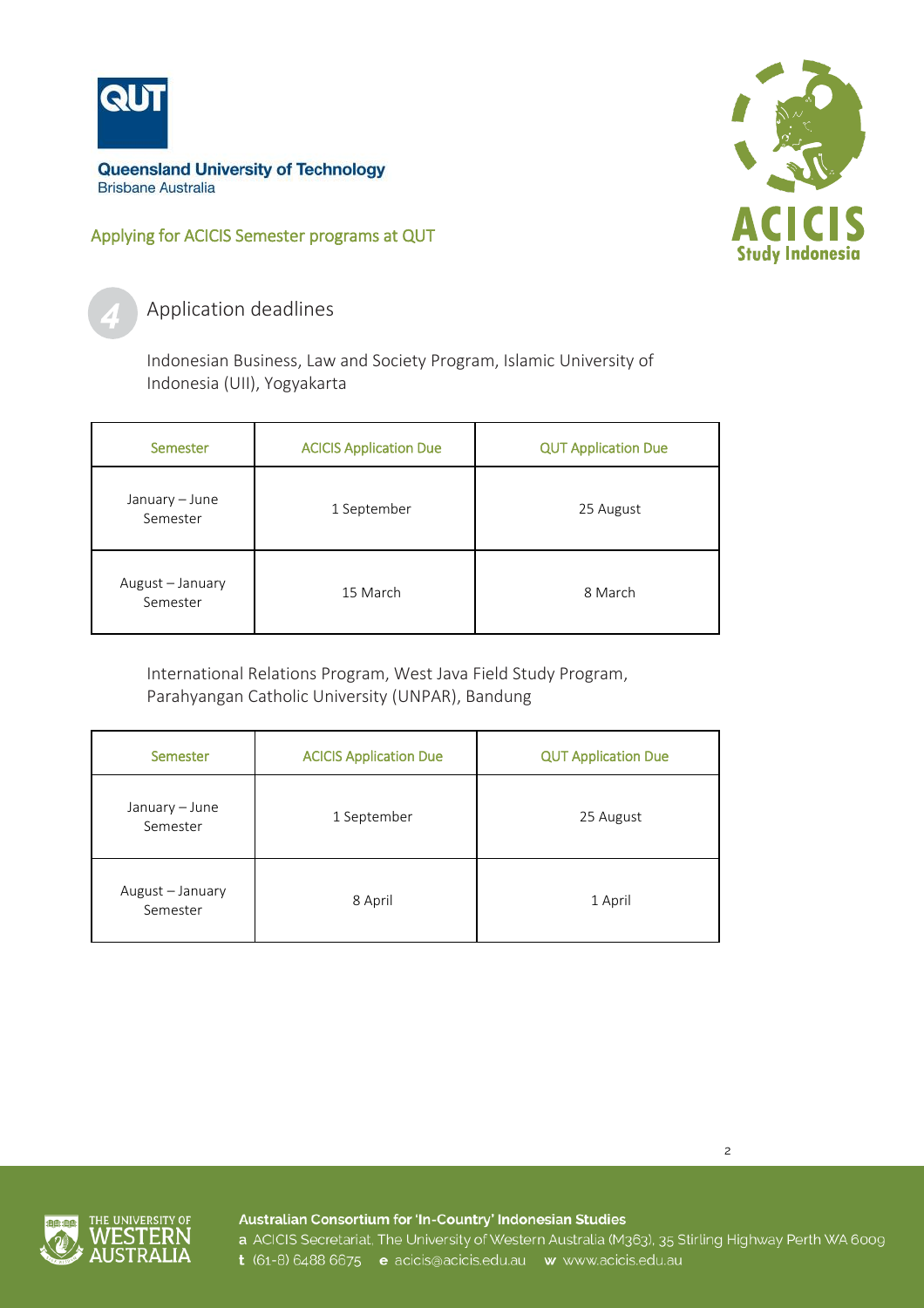

Applying for ACICIS Semester programs at QUT



Application deadlines

Indonesian Business, Law and Society Program, Islamic University of Indonesia (UII), Yogyakarta

| Semester                     | <b>ACICIS Application Due</b> | <b>QUT Application Due</b> |
|------------------------------|-------------------------------|----------------------------|
| January - June<br>Semester   | 1 September                   | 25 August                  |
| August - January<br>Semester | 15 March                      | 8 March                    |

International Relations Program, West Java Field Study Program, Parahyangan Catholic University (UNPAR), Bandung

| Semester                     | <b>ACICIS Application Due</b> | <b>QUT Application Due</b> |
|------------------------------|-------------------------------|----------------------------|
| January - June<br>Semester   | 1 September                   | 25 August                  |
| August - January<br>Semester | 8 April                       | 1 April                    |





Australian Consortium for 'In-Country' Indonesian Studies

a ACICIS Secretariat, The University of Western Australia (M363), 35 Stirling Highway Perth WA 6009 t (61-8) 6488 6675 e acicis@acicis.edu.au w www.acicis.edu.au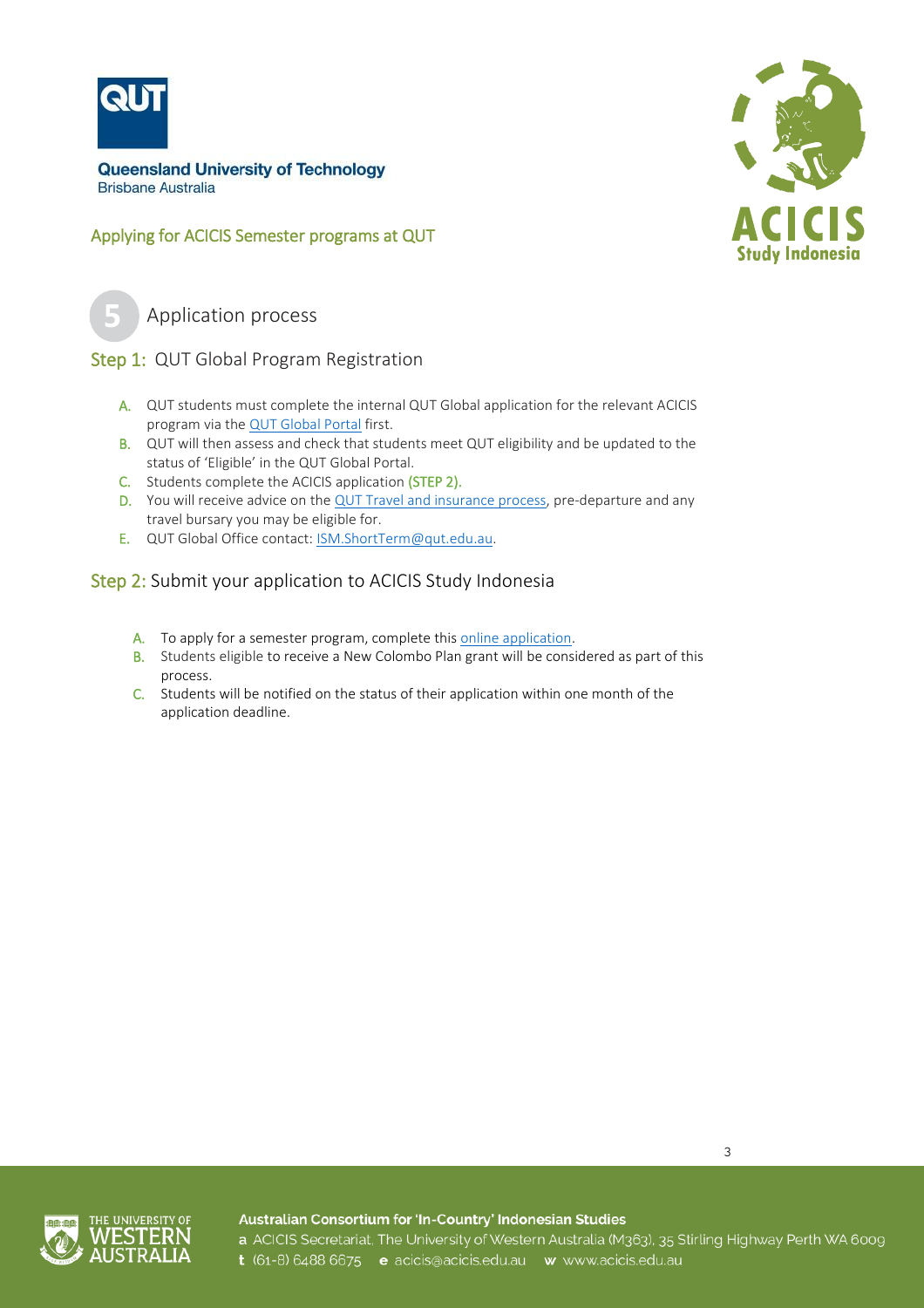

Applying for ACICIS Semester programs at QUT



Application process

# ľ Step 1: QUT Global Program Registration

- A. QUT students must complete the internal QUT Global application for the relevant ACICIS program via th[e QUT Global Portal](https://qutvirtual2.qut.edu.au/ismms-core/outboundStp/search) first.
- B. QUT will then assess and check that students meet QUT eligibility and be updated to the status of 'Eligible' in the QUT Global Portal.
- C. Students complete the ACICIS application (STEP 2).
- D. You will receive advice on th[e QUT Travel and insurance process,](https://www.student.qut.edu.au/enrolment/fees-and-finances/insurance/travel-insurance) pre-departure and any travel bursary you may be eligible for.
- E. QUT Global Office contact: [ISM.ShortTerm@qut.edu.au.](mailto:ISM.ShortTerm@qut.edu.au)

# Step 2: Submit your application to ACICIS Study Indonesia

- A. To apply for a semester program, complete thi[s online application.](https://fs9.formsite.com/acicis/form36/index.html)
- B. Students eligible to receive a New Colombo Plan grant will be considered as part of this process.
- C. Students will be notified on the status of their application within one month of the application deadline.





Australian Consortium for 'In-Country' Indonesian Studies a ACICIS Secretariat, The University of Western Australia (M363), 35 Stirling Highway Perth WA 6009 t (61-8) 6488 6675 e acicis@acicis.edu.au w www.acicis.edu.au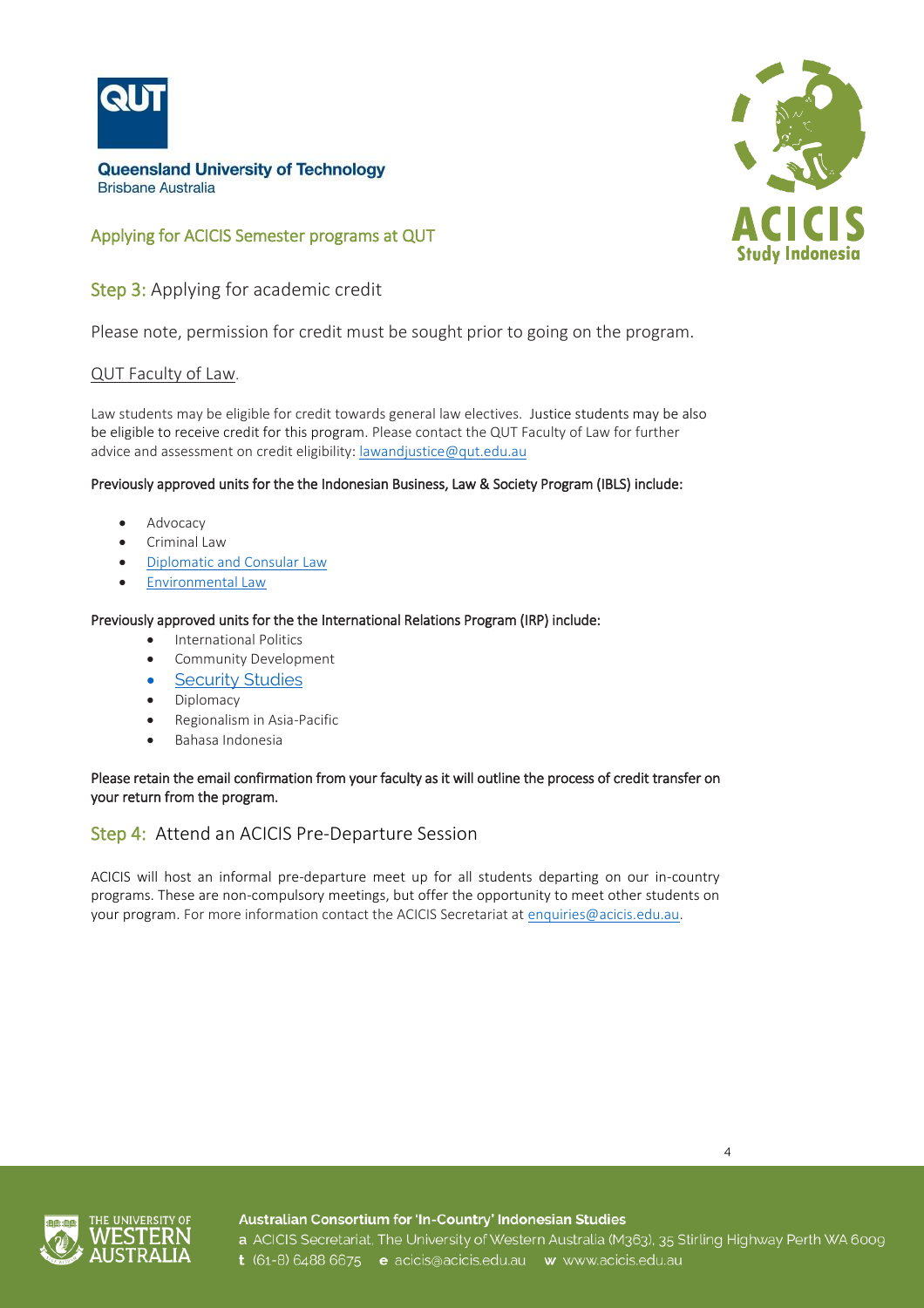

# Applying for ACICIS Semester programs at QUT

Step 3: Applying for academic credit

Please note, permission for credit must be sought prior to going on the program.

#### QUT Faculty of Law.

Law students may be eligible for credit towards general law electives. Justice students may be also be eligible to receive credit for this program. Please contact the QUT Faculty of Law for further advice and assessment on credit eligibility[: lawandjustice@qut.edu.au](mailto:lawandjustice@qut.edu.au)

#### Previously approved units for the the Indonesian Business, Law & Society Program (IBLS) include:

- Advocacy
- Criminal Law
- [Diplomatic and Consular Law](https://1073zb3xfs20yv98x228do7r-wpengine.netdna-ssl.com/wp-content/uploads/2018/12/Diplomatic-and-Consular-Law.pdf)
- [Environmental Law](https://1073zb3xfs20yv98x228do7r-wpengine.netdna-ssl.com/wp-content/uploads/2018/12/Enviromental-Law.pdf)

#### Previously approved units for the the International Relations Program (IRP) include:

- International Politics
- Community Development
- [Security Studies](https://1073zb3xfs20yv98x228do7r-wpengine.netdna-ssl.com/wp-content/uploads/2017/10/IR_Security-Studies.pdf)
- Diplomacy
- Regionalism in Asia-Pacific
- **•** Bahasa Indonesia

#### Please retain the email confirmation from your faculty as it will outline the process of credit transfer on your return from the program.

### Step 4: Attend an ACICIS Pre-Departure Session

ACICIS will host an informal pre-departure meet up for all students departing on our in-country programs. These are non-compulsory meetings, but offer the opportunity to meet other students on your program. For more information contact the ACICIS Secretariat at [enquiries@acicis.edu.au.](mailto:enquiries@acicis.edu.au)



Australian Consortium for 'In-Country' Indonesian Studies a ACICIS Secretariat, The University of Western Australia (M363), 35 Stirling Highway Perth WA 6009 t (61-8) 6488 6675 e acicis@acicis.edu.au w www.acicis.edu.au

4